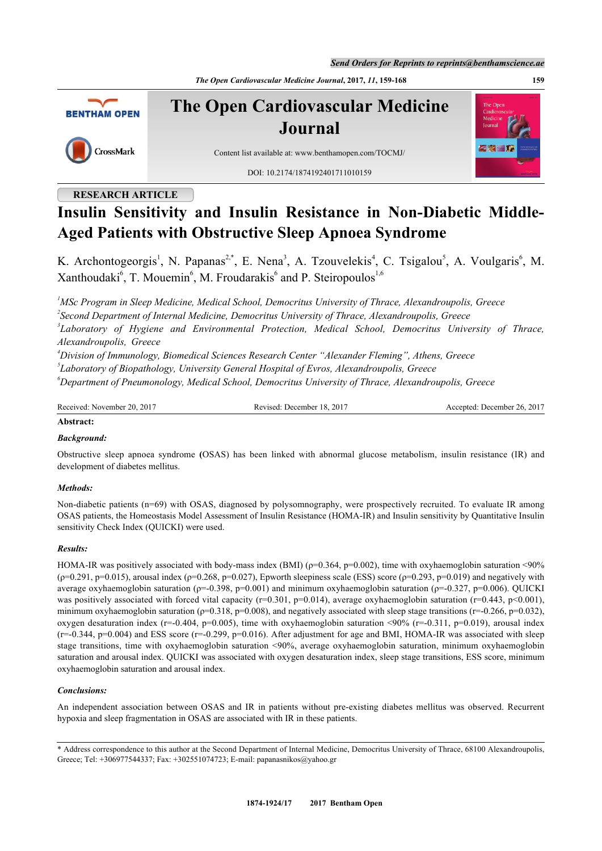*Send Orders for Reprints to reprints@benthamscience.ae*

*The Open Cardiovascular Medicine Journal***, 2017,** *11***, 159-168 159**



**The Open Cardiovascular Medicine Journal**

Content list available at: [www.benthamopen.com/TOCMJ/](http://www.benthamopen.com/TOCMJ/)

DOI: [10.2174/1874192401711010159](http://dx.doi.org/10.2174/1874192401711010159)

# **RESEARCH ARTICLE**

CrossMark

# **Insulin Sensitivity and Insulin Resistance in Non-Diabetic Middle-Aged Patients with Obstructive Sleep Apnoea Syndrome**

K. Archontogeorgis<sup>[1](#page-0-0)</sup>, N. Papanas<sup>[2,](#page-0-1)[\\*](#page-0-2)</sup>, E. Nena<sup>[3](#page-0-3)</sup>, A. Tzouvelekis<sup>[4](#page-0-4)</sup>, C. Tsigalou<sup>[5](#page-0-5)</sup>, A. Voulgaris<sup>[6](#page-0-6)</sup>, M. Xanthoudaki<sup>[6](#page-0-6)</sup>, T. Mouemin<sup>6</sup>, M. Froudarakis<sup>6</sup> and P. Steiropoulos<sup>[1,](#page-0-0)6</sup>

<span id="page-0-1"></span><span id="page-0-0"></span>*<sup>1</sup>MSc Program in Sleep Medicine, Medical School, Democritus University of Thrace, Alexandroupolis, Greece 2 Second Department of Internal Medicine, Democritus University of Thrace, Alexandroupolis, Greece*

<span id="page-0-3"></span>*3 Laboratory of Hygiene and Environmental Protection, Medical School, Democritus University of Thrace, Alexandroupolis, Greece*

<span id="page-0-4"></span>*<sup>4</sup>Division of Immunology, Biomedical Sciences Research Center "Alexander Fleming", Athens, Greece*

<span id="page-0-5"></span>*5 Laboratory of Biopathology, University General Hospital of Evros, Alexandroupolis, Greece*

<span id="page-0-6"></span>*<sup>6</sup>Department of Pneumonology, Medical School, Democritus University of Thrace, Alexandroupolis, Greece*

| Received<br>2011<br>20<br>November | 201<br>Revised<br>December<br>$\sim$<br>rv. | $201^{-}$<br>⊥December ′<br>:cented<br>26.<br>ΑG |
|------------------------------------|---------------------------------------------|--------------------------------------------------|
|                                    |                                             |                                                  |

#### **Abstract:**

#### *Background:*

Obstructive sleep apnoea syndrome **(**OSAS) has been linked with abnormal glucose metabolism, insulin resistance (IR) and development of diabetes mellitus.

#### *Methods:*

Non-diabetic patients (n=69) with OSAS, diagnosed by polysomnography, were prospectively recruited. To evaluate IR among OSAS patients, the Homeostasis Model Assessment of Insulin Resistance (HOMA-IR) and Insulin sensitivity by Quantitative Insulin sensitivity Check Index (QUICKI) were used.

#### *Results:*

HOMA-IR was positively associated with body-mass index (BMI) ( $\rho$ =0.364,  $p$ =0.002), time with oxyhaemoglobin saturation <90%  $(p=0.291, p=0.015)$ , arousal index  $(p=0.268, p=0.027)$ , Epworth sleepiness scale (ESS) score ( $p=0.293, p=0.019$ ) and negatively with average oxyhaemoglobin saturation ( $ρ=0.398$ ,  $p=0.001$ ) and minimum oxyhaemoglobin saturation ( $ρ=0.327$ ,  $p=0.006$ ). QUICKI was positively associated with forced vital capacity (r=0.301, p=0.014), average oxyhaemoglobin saturation (r=0.443, p<0.001), minimum oxyhaemoglobin saturation (ρ=0.318, p=0.008), and negatively associated with sleep stage transitions (r=-0.266, p=0.032), oxygen desaturation index (r=-0.404, p=0.005), time with oxyhaemoglobin saturation <90% (r=-0.311, p=0.019), arousal index  $(r=-0.344, p=0.004)$  and ESS score  $(r=-0.299, p=0.016)$ . After adjustment for age and BMI, HOMA-IR was associated with sleep stage transitions, time with oxyhaemoglobin saturation <90%, average oxyhaemoglobin saturation, minimum oxyhaemoglobin saturation and arousal index. QUICKI was associated with oxygen desaturation index, sleep stage transitions, ESS score, minimum oxyhaemoglobin saturation and arousal index.

#### *Conclusions:*

An independent association between OSAS and IR in patients without pre-existing diabetes mellitus was observed. Recurrent hypoxia and sleep fragmentation in OSAS are associated with IR in these patients.

<span id="page-0-2"></span><sup>\*</sup> Address correspondence to this author at the Second Department of Internal Medicine, Democritus University of Thrace, 68100 Alexandroupolis, Greece; Tel: +306977544337; Fax: +302551074723; E-mail: [papanasnikos@yahoo.gr](mailto:papanasnikos@yahoo.gr)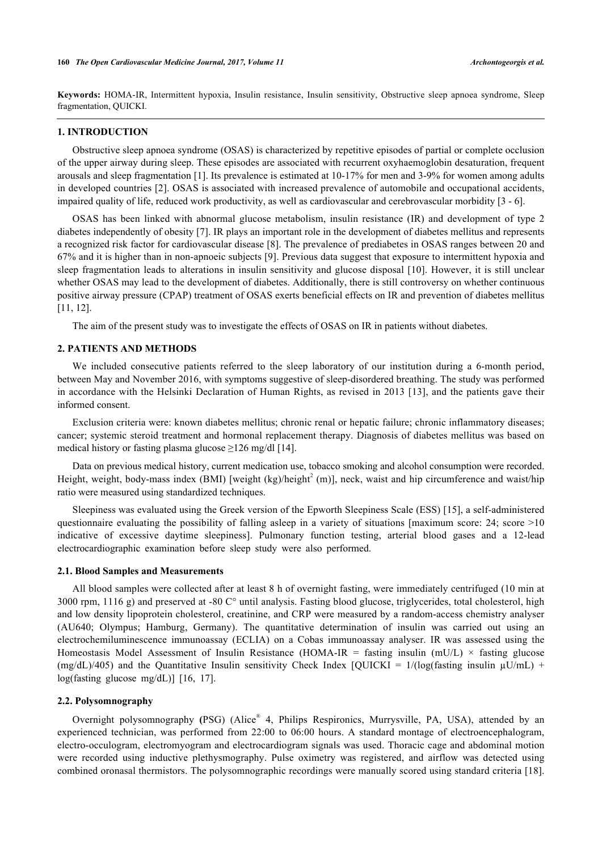**Keywords:** HOMA-IR, Intermittent hypoxia, Insulin resistance, Insulin sensitivity, Obstructive sleep apnoea syndrome, Sleep fragmentation, QUICKI.

# **1. INTRODUCTION**

Obstructive sleep apnoea syndrome (OSAS) is characterized by repetitive episodes of partial or complete occlusion of the upper airway during sleep. These episodes are associated with recurrent oxyhaemoglobin desaturation, frequent arousals and sleep fragmentation [\[1](#page-7-0)]. Its prevalence is estimated at 10-17% for men and 3-9% for women among adults in developed countries [[2\]](#page-7-1). OSAS is associated with increased prevalence of automobile and occupational accidents, impaired quality of life, reduced work productivity, as well as cardiovascular and cerebrovascular morbidity [\[3](#page-7-2) - [6\]](#page-7-3).

OSAS has been linked with abnormal glucose metabolism, insulin resistance (IR) and development of type 2 diabetes independently of obesity [[7\]](#page-7-4). IR plays an important role in the development of diabetes mellitus and represents a recognized risk factor for cardiovascular disease [\[8](#page-7-5)]. The prevalence of prediabetes in OSAS ranges between 20 and 67% and it is higher than in non-apnoeic subjects [[9](#page-7-6)]. Previous data suggest that exposure to intermittent hypoxia and sleep fragmentation leads to alterations in insulin sensitivity and glucose disposal [[10\]](#page-8-0). However, it is still unclear whether OSAS may lead to the development of diabetes. Additionally, there is still controversy on whether continuous positive airway pressure (CPAP) treatment of OSAS exerts beneficial effects on IR and prevention of diabetes mellitus [\[11](#page-8-1), [12](#page-8-2)].

The aim of the present study was to investigate the effects of OSAS on IR in patients without diabetes.

#### **2. PATIENTS AND METHODS**

We included consecutive patients referred to the sleep laboratory of our institution during a 6-month period, between May and November 2016, with symptoms suggestive of sleep-disordered breathing. The study was performed in accordance with the Helsinki Declaration of Human Rights, as revised in 2013 [\[13\]](#page-8-3), and the patients gave their informed consent.

Exclusion criteria were: known diabetes mellitus; chronic renal or hepatic failure; chronic inflammatory diseases; cancer; systemic steroid treatment and hormonal replacement therapy. Diagnosis of diabetes mellitus was based on medical history or fasting plasma glucose  $\geq$ 126 mg/dl [[14\]](#page-8-4).

Data on previous medical history, current medication use, tobacco smoking and alcohol consumption were recorded. Height, weight, body-mass index (BMI) [weight (kg)/height<sup>2</sup> (m)], neck, waist and hip circumference and waist/hip ratio were measured using standardized techniques.

Sleepiness was evaluated using the Greek version of the Epworth Sleepiness Scale (ESS) [[15](#page-8-5)], a self-administered questionnaire evaluating the possibility of falling asleep in a variety of situations [maximum score: 24; score >10 indicative of excessive daytime sleepiness]. Pulmonary function testing, arterial blood gases and a 12-lead electrocardiographic examination before sleep study were also performed.

#### **2.1. Blood Samples and Measurements**

All blood samples were collected after at least 8 h of overnight fasting, were immediately centrifuged (10 min at 3000 rpm, 1116 g) and preserved at -80 C° until analysis. Fasting blood glucose, triglycerides, total cholesterol, high and low density lipoprotein cholesterol, creatinine, and CRP were measured by a random-access chemistry analyser (AU640; Olympus; Hamburg, Germany). The quantitative determination of insulin was carried out using an electrochemiluminescence immunoassay (ECLIA) on a Cobas immunoassay analyser. IR was assessed using the Homeostasis Model Assessment of Insulin Resistance (HOMA-IR = fasting insulin (mU/L)  $\times$  fasting glucose (mg/dL)/405) and the Quantitative Insulin sensitivity Check Index [QUICKI =  $1/(\log(fasting)$  insulin  $\mu U/mL$ ) + log(fasting glucose mg/dL)][[16,](#page-8-6) [17\]](#page-8-7).

#### **2.2. Polysomnography**

Overnight polysomnography **(**PSG) (Alice® 4, Philips Respironics, Murrysville, PA, USA), attended by an experienced technician, was performed from 22:00 to 06:00 hours. A standard montage of electroencephalogram, electro-occulogram, electromyogram and electrocardiogram signals was used. Thoracic cage and abdominal motion were recorded using inductive plethysmography. Pulse oximetry was registered, and airflow was detected using combined oronasal thermistors. The polysomnographic recordings were manually scored using standard criteria [[18\]](#page-8-8).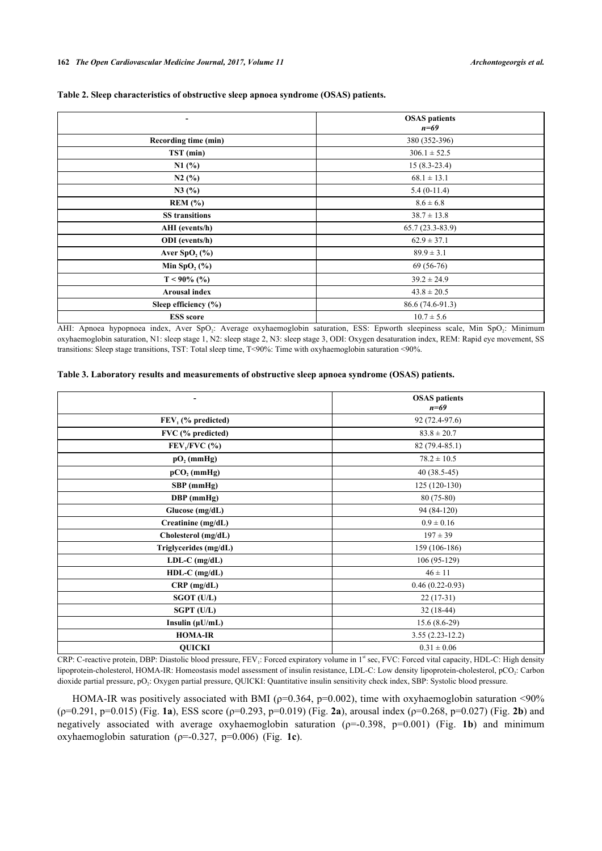|                             | <b>OSAS</b> patients<br>$n=69$ |
|-----------------------------|--------------------------------|
| Recording time (min)        | 380 (352-396)                  |
| TST (min)                   | $306.1 \pm 52.5$               |
| N1(%)                       | $15(8.3-23.4)$                 |
| N2(%)                       | $68.1 \pm 13.1$                |
| N3(%)                       | $5.4(0-11.4)$                  |
| REM (%)                     | $8.6 \pm 6.8$                  |
| <b>SS</b> transitions       | $38.7 \pm 13.8$                |
| AHI (events/h)              | $65.7(23.3-83.9)$              |
| <b>ODI</b> (events/h)       | $62.9 \pm 37.1$                |
| Aver $SpO2(\%)$             | $89.9 \pm 3.1$                 |
| Min SpO <sub>2</sub> $(\%)$ | $69(56-76)$                    |
| $T < 90\%$ (%)              | $39.2 \pm 24.9$                |
| <b>Arousal index</b>        | $43.8 \pm 20.5$                |
| Sleep efficiency (%)        | 86.6 (74.6-91.3)               |
| <b>ESS</b> score            | $10.7 \pm 5.6$                 |

#### **Table 2. Sleep characteristics of obstructive sleep apnoea syndrome (OSAS) patients.**

AHI: Apnoea hypopnoea index, Aver SpO<sub>2</sub>: Average oxyhaemoglobin saturation, ESS: Epworth sleepiness scale, Min SpO<sub>2</sub>: Minimum oxyhaemoglobin saturation, N1: sleep stage 1, N2: sleep stage 2, N3: sleep stage 3, ODI: Oxygen desaturation index, REM: Rapid eye movement, SS transitions: Sleep stage transitions, TST: Total sleep time, T<90%: Time with oxyhaemoglobin saturation <90%.

#### **Table 3. Laboratory results and measurements of obstructive sleep apnoea syndrome (OSAS) patients.**

| -                     | <b>OSAS</b> patients<br>$n=69$ |
|-----------------------|--------------------------------|
| $FEV1$ (% predicted)  | 92 (72.4-97.6)                 |
| FVC (% predicted)     | $83.8 \pm 20.7$                |
| $FEV1/FVC$ (%)        | 82 (79.4-85.1)                 |
| $pO2$ (mmHg)          | $78.2 \pm 10.5$                |
| $pCO2$ (mmHg)         | $40(38.5-45)$                  |
| SBP (mmHg)            | $125(120-130)$                 |
| DBP (mmHg)            | $80(75-80)$                    |
| Glucose (mg/dL)       | 94 (84-120)                    |
| Creatinine (mg/dL)    | $0.9 \pm 0.16$                 |
| Cholesterol (mg/dL)   | $197 \pm 39$                   |
| Triglycerides (mg/dL) | 159 (106-186)                  |
| $LDL-C$ (mg/dL)       | $106(95-129)$                  |
| $HDL-C$ (mg/dL)       | $46 \pm 11$                    |
| $CRP$ (mg/dL)         | $0.46(0.22-0.93)$              |
| SGOT (U/L)            | $22(17-31)$                    |
| SGPT (U/L)            | $32(18-44)$                    |
| Insulin $(\mu U/mL)$  | $15.6(8.6-29)$                 |
| <b>HOMA-IR</b>        | $3.55(2.23-12.2)$              |
| <b>QUICKI</b>         | $0.31 \pm 0.06$                |

CRP: C-reactive protein, DBP: Diastolic blood pressure, FEV<sub>1</sub>: Forced expiratory volume in 1<sup>st</sup> sec, FVC: Forced vital capacity, HDL-C: High density lipoprotein-cholesterol, HOMA-IR: Homeostasis model assessment of insulin resistance, LDL-C: Low density lipoprotein-cholesterol, pCO<sub>2</sub>: Carbon dioxide partial pressure, pO<sub>2</sub>: Oxygen partial pressure, QUICKI: Quantitative insulin sensitivity check index, SBP: Systolic blood pressure.

<span id="page-3-0"></span>HOMA-IR was positively associated with BMI ( $p=0.364$ ,  $p=0.002$ ), time with oxyhaemoglobin saturation <90% (ρ=0.291, p=0.015) (Fig. **[1a](#page-2-0)**), ESS score (ρ=0.293, p=0.019) (Fig. **[2a](#page-3-0)**), arousal index (ρ=0.268, p=0.027) (Fig. **[2b](#page-3-0)**) and negatively associated with average oxyhaemoglobin saturation (ρ=-0.398, p=0.001) (Fig. **[1b](#page-2-0)**) and minimum oxyhaemoglobin saturation (ρ=-0.327, p=0.006) (Fig. **[1c](#page-2-0)**).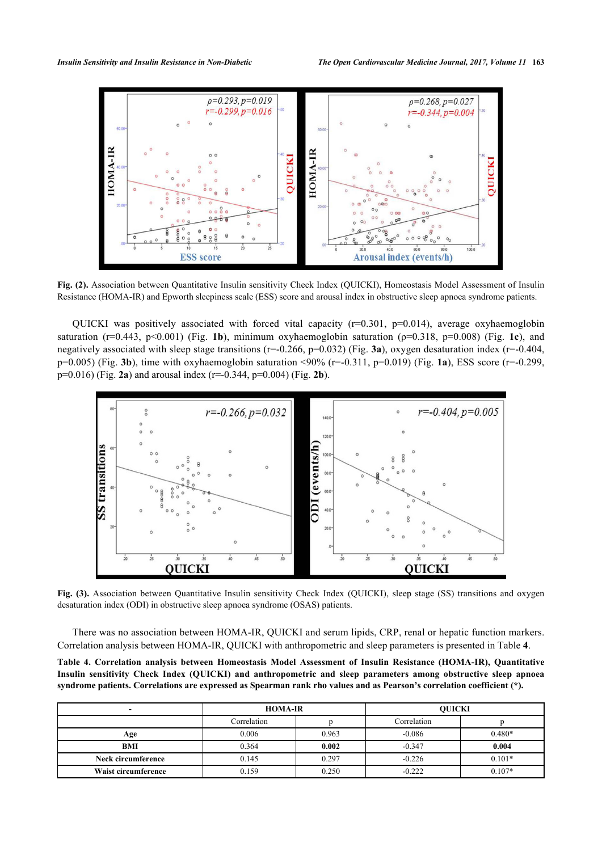

**Fig. (2).** Association between Quantitative Insulin sensitivity Check Index (QUICKI), Homeostasis Model Assessment of Insulin Resistance (HOMA-IR) and Epworth sleepiness scale (ESS) score and arousal index in obstructive sleep apnoea syndrome patients.

QUICKI was positively associated with forced vital capacity (r=0.301, p=0.014), average oxyhaemoglobin saturation ( $r=0.443$ ,  $p<0.001$ ) (Fig. [1b](#page-2-0)), minimum oxyhaemoglobin saturation ( $p=0.318$ ,  $p=0.008$ ) (Fig. [1c](#page-2-0)), and negatively associated with sleep stage transitions  $(r=0.266, p=0.032)$  (Fig. [3a](#page-4-0)), oxygen desaturation index  $(r=0.404, p=0.404)$ p=0.005) (Fig. **[3b](#page-4-0)**), time with oxyhaemoglobin saturation <90% (r=-0.311, p=0.019) (Fig. **[1a](#page-2-0)**), ESS score (r=-0.299, p=0.016) (Fig. **[2a](#page-3-0)**) and arousal index (r=-0.344, p=0.004) (Fig. **[2b](#page-3-0)**).

<span id="page-4-0"></span>

**Fig. (3).** Association between Quantitative Insulin sensitivity Check Index (QUICKI), sleep stage (SS) transitions and oxygen desaturation index (ODI) in obstructive sleep apnoea syndrome (OSAS) patients.

There was no association between HOMA-IR, QUICKI and serum lipids, CRP, renal or hepatic function markers. Correlation analysis between HOMA-IR, QUICKI with anthropometric and sleep parameters is presented in Table **[4](#page-4-1)**.

<span id="page-4-1"></span>**Table 4. Correlation analysis between Homeostasis Model Assessment of Insulin Resistance (HOMA-IR), Quantitative Insulin sensitivity Check Index (QUICKI) and anthropometric and sleep parameters among obstructive sleep apnoea syndrome patients. Correlations are expressed as Spearman rank rho values and as Pearson's correlation coefficient (\*).**

| -                   | <b>HOMA-IR</b> |       | <b>OUICKI</b> |          |
|---------------------|----------------|-------|---------------|----------|
|                     | Correlation    |       | Correlation   |          |
| Age                 | 0.006          | 0.963 | $-0.086$      | $0.480*$ |
| <b>BMI</b>          | 0.364          | 0.002 | $-0.347$      | 0.004    |
| Neck circumference  | 0.145          | 0.297 | $-0.226$      | $0.101*$ |
| Waist circumference | 0.159          | 0.250 | $-0.222$      | $0.107*$ |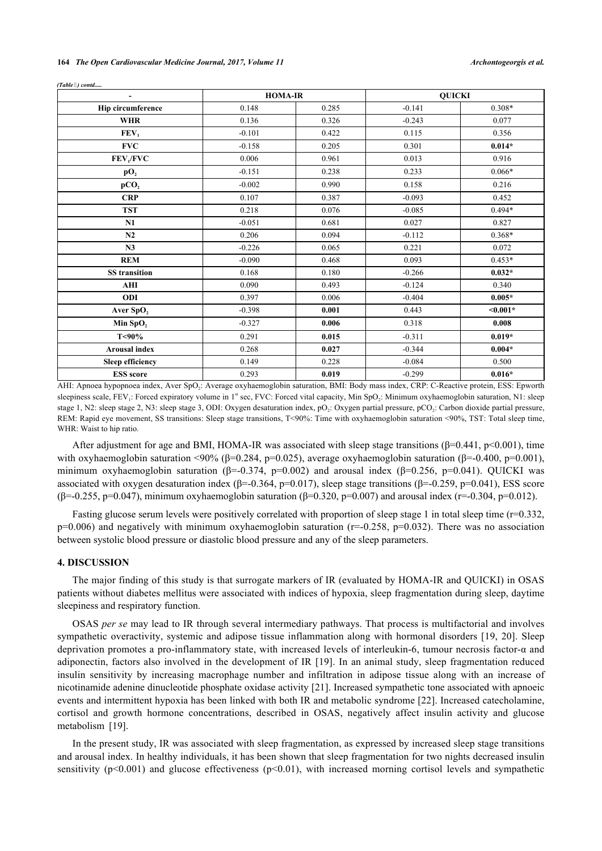|  |  | 164 The Open Cardiovascular Medicine Journal, 2017, Volume 11 |  |  |  |  |  |
|--|--|---------------------------------------------------------------|--|--|--|--|--|
|--|--|---------------------------------------------------------------|--|--|--|--|--|

| $\overline{\phantom{a}}$ |          | <b>HOMA-IR</b> |          | <b>QUICKI</b> |
|--------------------------|----------|----------------|----------|---------------|
| <b>Hip circumference</b> | 0.148    | 0.285          | $-0.141$ | 0.308*        |
| <b>WHR</b>               | 0.136    | 0.326          | $-0.243$ | 0.077         |
| FEV <sub>1</sub>         | $-0.101$ | 0.422          | 0.115    | 0.356         |
| <b>FVC</b>               | $-0.158$ | 0.205          | 0.301    | $0.014*$      |
| FEV <sub>1</sub> /FVC    | 0.006    | 0.961          | 0.013    | 0.916         |
| pO <sub>2</sub>          | $-0.151$ | 0.238          | 0.233    | $0.066*$      |
| pCO <sub>2</sub>         | $-0.002$ | 0.990          | 0.158    | 0.216         |
| <b>CRP</b>               | 0.107    | 0.387          | $-0.093$ | 0.452         |
| <b>TST</b>               | 0.218    | 0.076          | $-0.085$ | $0.494*$      |
| N1                       | $-0.051$ | 0.681          | 0.027    | 0.827         |
| N2                       | 0.206    | 0.094          | $-0.112$ | 0.368*        |
| N3                       | $-0.226$ | 0.065          | 0.221    | 0.072         |
| <b>REM</b>               | $-0.090$ | 0.468          | 0.093    | $0.453*$      |
| <b>SS</b> transition     | 0.168    | 0.180          | $-0.266$ | $0.032*$      |
| AHI                      | 0.090    | 0.493          | $-0.124$ | 0.340         |
| ODI                      | 0.397    | 0.006          | $-0.404$ | $0.005*$      |
| Aver SpO <sub>2</sub>    | $-0.398$ | 0.001          | 0.443    | $0.001*$      |
| Min $SpO2$               | $-0.327$ | 0.006          | 0.318    | 0.008         |
| T<90%                    | 0.291    | 0.015          | $-0.311$ | $0.019*$      |
| <b>Arousal index</b>     | 0.268    | 0.027          | $-0.344$ | $0.004*$      |
| <b>Sleep efficiency</b>  | 0.149    | 0.228          | $-0.084$ | 0.500         |
| <b>ESS</b> score         | 0.293    | 0.019          | $-0.299$ | $0.016*$      |

*(Table ) contd.....*

AHI: Apnoea hypopnoea index, Aver SpO<sub>2</sub>: Average oxyhaemoglobin saturation, BMI: Body mass index, CRP: C-Reactive protein, ESS: Epworth sleepiness scale, FEV<sub>1</sub>: Forced expiratory volume in 1<sup>st</sup> sec, FVC: Forced vital capacity, Min SpO<sub>2</sub>: Minimum oxyhaemoglobin saturation, N1: sleep stage 1, N2: sleep stage 2, N3: sleep stage 3, ODI: Oxygen desaturation index, pO<sub>2</sub>: Oxygen partial pressure, pCO<sub>2</sub>: Carbon dioxide partial pressure, REM: Rapid eye movement, SS transitions: Sleep stage transitions, T<90%: Time with oxyhaemoglobin saturation <90%, TST: Total sleep time, WHR: Waist to hip ratio.

After adjustment for age and BMI, HOMA-IR was associated with sleep stage transitions ( $\beta$ =0.441, p<0.001), time with oxyhaemoglobin saturation <90% (β=0.284, p=0.025), average oxyhaemoglobin saturation (β=-0.400, p=0.001), minimum oxyhaemoglobin saturation ( $\beta$ =-0.374, p=0.002) and arousal index ( $\beta$ =0.256, p=0.041). OUICKI was associated with oxygen desaturation index (β=-0.364, p=0.017), sleep stage transitions (β=-0.259, p=0.041), ESS score (β=-0.255, p=0.047), minimum oxyhaemoglobin saturation (β=0.320, p=0.007) and arousal index (r=-0.304, p=0.012).

Fasting glucose serum levels were positively correlated with proportion of sleep stage 1 in total sleep time (r=0.332,  $p=0.006$ ) and negatively with minimum oxyhaemoglobin saturation ( $r=-0.258$ ,  $p=0.032$ ). There was no association between systolic blood pressure or diastolic blood pressure and any of the sleep parameters.

### **4. DISCUSSION**

The major finding of this study is that surrogate markers of IR (evaluated by HOMA-IR and QUICKI) in OSAS patients without diabetes mellitus were associated with indices of hypoxia, sleep fragmentation during sleep, daytime sleepiness and respiratory function.

OSAS *per se* may lead to IR through several intermediary pathways. That process is multifactorial and involves sympathetic overactivity, systemic and adipose tissue inflammation along with hormonal disorders [[19,](#page-8-9) [20](#page-8-10)]. Sleep deprivation promotes a pro-inflammatory state, with increased levels of interleukin-6, tumour necrosis factor-α and adiponectin, factors also involved in the development of IR [\[19\]](#page-8-9). In an animal study, sleep fragmentation reduced insulin sensitivity by increasing macrophage number and infiltration in adipose tissue along with an increase of nicotinamide adenine dinucleotide phosphate oxidase activity [[21\]](#page-8-11). Increased sympathetic tone associated with apnoeic events and intermittent hypoxia has been linked with both IR and metabolic syndrome [[22\]](#page-8-12). Increased catecholamine, cortisol and growth hormone concentrations, described in OSAS, negatively affect insulin activity and glucose metabolism [\[19](#page-8-9)].

In the present study, IR was associated with sleep fragmentation, as expressed by increased sleep stage transitions and arousal index. In healthy individuals, it has been shown that sleep fragmentation for two nights decreased insulin sensitivity ( $p \le 0.001$ ) and glucose effectiveness ( $p \le 0.01$ ), with increased morning cortisol levels and sympathetic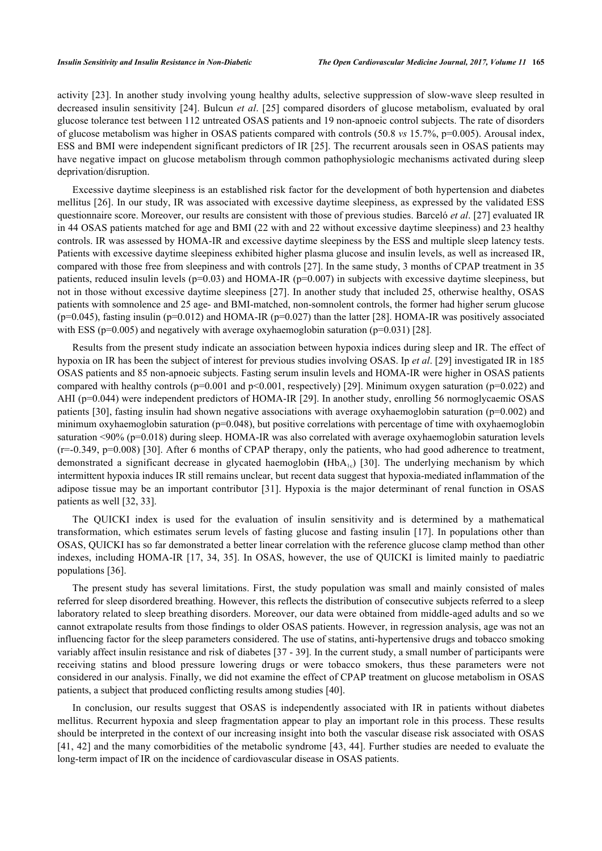activity [\[23](#page-8-13)]. In another study involving young healthy adults, selective suppression of slow-wave sleep resulted in decreased insulin sensitivity [\[24\]](#page-8-14). Bulcun *et al*. [[25](#page-8-15)] compared disorders of glucose metabolism, evaluated by oral glucose tolerance test between 112 untreated OSAS patients and 19 non-apnoeic control subjects. The rate of disorders of glucose metabolism was higher in OSAS patients compared with controls (50.8 *vs* 15.7%, p=0.005). Arousal index, ESS and BMI were independent significant predictors of IR [[25](#page-8-15)]. The recurrent arousals seen in OSAS patients may have negative impact on glucose metabolism through common pathophysiologic mechanisms activated during sleep deprivation/disruption.

Excessive daytime sleepiness is an established risk factor for the development of both hypertension and diabetes mellitus [\[26](#page-8-16)]. In our study, IR was associated with excessive daytime sleepiness, as expressed by the validated ESS questionnaire score. Moreover, our results are consistent with those of previous studies. Barceló *et al*. [[27\]](#page-8-17) evaluated IR in 44 OSAS patients matched for age and BMI (22 with and 22 without excessive daytime sleepiness) and 23 healthy controls. IR was assessed by HOMA-IR and excessive daytime sleepiness by the ESS and multiple sleep latency tests. Patients with excessive daytime sleepiness exhibited higher plasma glucose and insulin levels, as well as increased IR, compared with those free from sleepiness and with controls [[27\]](#page-8-17). In the same study, 3 months of CPAP treatment in 35 patients, reduced insulin levels ( $p=0.03$ ) and HOMA-IR ( $p=0.007$ ) in subjects with excessive daytime sleepiness, but not in those without excessive daytime sleepiness [\[27](#page-8-17)]. In another study that included 25, otherwise healthy, OSAS patients with somnolence and 25 age- and BMI-matched, non-somnolent controls, the former had higher serum glucose  $(p=0.045)$ , fasting insulin ( $p=0.012$ ) and HOMA-IR ( $p=0.027$ ) than the latter [[28\]](#page-8-18). HOMA-IR was positively associated with ESS ( $p=0.005$ ) and negatively with average oxyhaemoglobin saturation ( $p=0.031$ ) [\[28](#page-8-18)].

Results from the present study indicate an association between hypoxia indices during sleep and IR. The effect of hypoxia on IR has been the subject of interest for previous studies involving OSAS. Ip *et al*. [[29\]](#page-8-19) investigated IR in 185 OSAS patients and 85 non-apnoeic subjects. Fasting serum insulin levels and HOMA-IR were higher in OSAS patients compared with healthy controls ( $p=0.001$  and  $p<0.001$ , respectively) [\[29](#page-8-19)]. Minimum oxygen saturation ( $p=0.022$ ) and AHI (p=0.044) were independent predictors of HOMA-IR [[29\]](#page-8-19). In another study, enrolling 56 normoglycaemic OSAS patients [[30\]](#page-8-20), fasting insulin had shown negative associations with average oxyhaemoglobin saturation (p=0.002) and minimum oxyhaemoglobin saturation (p=0.048), but positive correlations with percentage of time with oxyhaemoglobin saturation <90% (p=0.018) during sleep. HOMA-IR was also correlated with average oxyhaemoglobin saturation levels  $(r=0.349, p=0.008)$  [[30](#page-8-20)]. After 6 months of CPAP therapy, only the patients, who had good adherence to treatment, demonstrateda significant decrease in glycated haemoglobin (HbA<sub>1c</sub>) [[30\]](#page-8-20). The underlying mechanism by which intermittent hypoxia induces IR still remains unclear, but recent data suggest that hypoxia-mediated inflammation of the adipose tissue may be an important contributor [[31](#page-9-0)]. Hypoxia is the major determinant of renal function in OSAS patients as well [\[32](#page-9-1), [33](#page-9-2)].

The QUICKI index is used for the evaluation of insulin sensitivity and is determined by a mathematical transformation, which estimates serum levels of fasting glucose and fasting insulin [[17](#page-8-7)]. In populations other than OSAS, QUICKI has so far demonstrated a better linear correlation with the reference glucose clamp method than other indexes, including HOMA-IR [\[17](#page-8-7), [34,](#page-9-3) [35](#page-9-4)]. In OSAS, however, the use of QUICKI is limited mainly to paediatric populations [\[36](#page-9-5)].

The present study has several limitations. First, the study population was small and mainly consisted of males referred for sleep disordered breathing. However, this reflects the distribution of consecutive subjects referred to a sleep laboratory related to sleep breathing disorders. Moreover, our data were obtained from middle-aged adults and so we cannot extrapolate results from those findings to older OSAS patients. However, in regression analysis, age was not an influencing factor for the sleep parameters considered. The use of statins, anti-hypertensive drugs and tobacco smoking variably affect insulin resistance and risk of diabetes [[37](#page-9-6) - [39](#page-9-7)]. In the current study, a small number of participants were receiving statins and blood pressure lowering drugs or were tobacco smokers, thus these parameters were not considered in our analysis. Finally, we did not examine the effect of CPAP treatment on glucose metabolism in OSAS patients, a subject that produced conflicting results among studies [[40\]](#page-9-8).

In conclusion, our results suggest that OSAS is independently associated with IR in patients without diabetes mellitus. Recurrent hypoxia and sleep fragmentation appear to play an important role in this process. These results should be interpreted in the context of our increasing insight into both the vascular disease risk associated with OSAS [\[41](#page-9-9), [42](#page-9-10)] and the many comorbidities of the metabolic syndrome [[43,](#page-9-11) [44\]](#page-9-12). Further studies are needed to evaluate the long-term impact of IR on the incidence of cardiovascular disease in OSAS patients.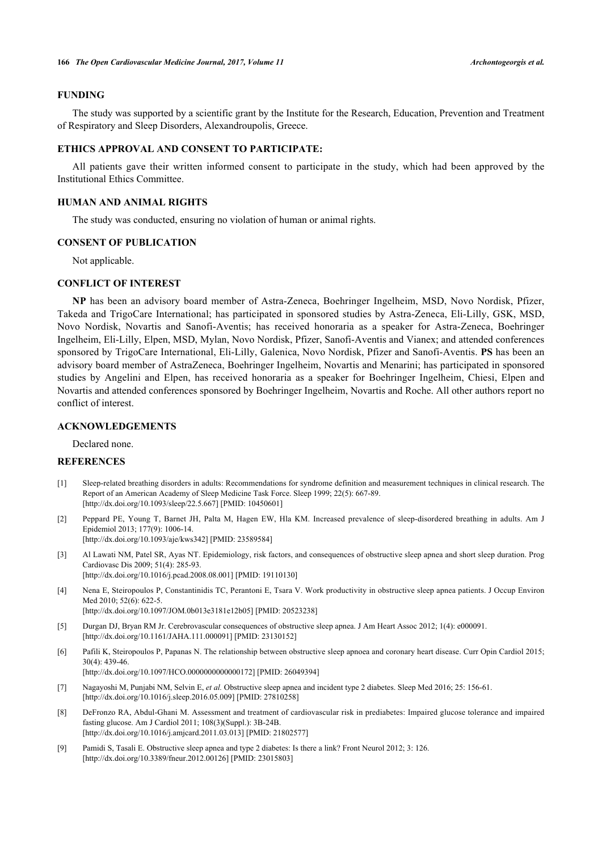#### **FUNDING**

The study was supported by a scientific grant by the Institute for the Research, Education, Prevention and Treatment of Respiratory and Sleep Disorders, Alexandroupolis, Greece.

# **ETHICS APPROVAL AND CONSENT TO PARTICIPATE:**

All patients gave their written informed consent to participate in the study, which had been approved by the Institutional Ethics Committee.

#### **HUMAN AND ANIMAL RIGHTS**

The study was conducted, ensuring no violation of human or animal rights.

#### **CONSENT OF PUBLICATION**

Not applicable.

#### **CONFLICT OF INTEREST**

**NP** has been an advisory board member of Astra-Zeneca, Boehringer Ingelheim, MSD, Novo Nordisk, Pfizer, Takeda and TrigoCare International; has participated in sponsored studies by Astra-Zeneca, Eli-Lilly, GSK, MSD, Novo Nordisk, Novartis and Sanofi-Aventis; has received honoraria as a speaker for Astra-Zeneca, Boehringer Ingelheim, Eli-Lilly, Elpen, MSD, Mylan, Novo Nordisk, Pfizer, Sanofi-Aventis and Vianex; and attended conferences sponsored by TrigoCare International, Eli-Lilly, Galenica, Novo Nordisk, Pfizer and Sanofi-Aventis. **PS** has been an advisory board member of AstraZeneca, Boehringer Ingelheim, Novartis and Menarini; has participated in sponsored studies by Angelini and Elpen, has received honoraria as a speaker for Boehringer Ingelheim, Chiesi, Elpen and Novartis and attended conferences sponsored by Boehringer Ingelheim, Novartis and Roche. All other authors report no conflict of interest.

#### **ACKNOWLEDGEMENTS**

Declared none.

# **REFERENCES**

- <span id="page-7-0"></span>[1] Sleep-related breathing disorders in adults: Recommendations for syndrome definition and measurement techniques in clinical research. The Report of an American Academy of Sleep Medicine Task Force. Sleep 1999; 22(5): 667-89. [\[http://dx.doi.org/10.1093/sleep/22.5.667](http://dx.doi.org/10.1093/sleep/22.5.667)] [PMID: [10450601](http://www.ncbi.nlm.nih.gov/pubmed/10450601)]
- <span id="page-7-1"></span>[2] Peppard PE, Young T, Barnet JH, Palta M, Hagen EW, Hla KM. Increased prevalence of sleep-disordered breathing in adults. Am J Epidemiol 2013; 177(9): 1006-14. [\[http://dx.doi.org/10.1093/aje/kws342](http://dx.doi.org/10.1093/aje/kws342)] [PMID: [23589584\]](http://www.ncbi.nlm.nih.gov/pubmed/23589584)
- <span id="page-7-2"></span>[3] Al Lawati NM, Patel SR, Ayas NT. Epidemiology, risk factors, and consequences of obstructive sleep apnea and short sleep duration. Prog Cardiovasc Dis 2009; 51(4): 285-93. [\[http://dx.doi.org/10.1016/j.pcad.2008.08.001](http://dx.doi.org/10.1016/j.pcad.2008.08.001)] [PMID: [19110130\]](http://www.ncbi.nlm.nih.gov/pubmed/19110130)
- [4] Nena E, Steiropoulos P, Constantinidis TC, Perantoni E, Tsara V. Work productivity in obstructive sleep apnea patients. J Occup Environ Med 2010; 52(6): 622-5. [\[http://dx.doi.org/10.1097/JOM.0b013e3181e12b05\]](http://dx.doi.org/10.1097/JOM.0b013e3181e12b05) [PMID: [20523238](http://www.ncbi.nlm.nih.gov/pubmed/20523238)]
- [5] Durgan DJ, Bryan RM Jr. Cerebrovascular consequences of obstructive sleep apnea. J Am Heart Assoc 2012; 1(4): e000091. [\[http://dx.doi.org/10.1161/JAHA.111.000091](http://dx.doi.org/10.1161/JAHA.111.000091)] [PMID: [23130152\]](http://www.ncbi.nlm.nih.gov/pubmed/23130152)
- <span id="page-7-3"></span>[6] Pafili K, Steiropoulos P, Papanas N. The relationship between obstructive sleep apnoea and coronary heart disease. Curr Opin Cardiol 2015;  $30(4)$ : 439-46.

[\[http://dx.doi.org/10.1097/HCO.0000000000000172\]](http://dx.doi.org/10.1097/HCO.0000000000000172) [PMID: [26049394](http://www.ncbi.nlm.nih.gov/pubmed/26049394)]

- <span id="page-7-4"></span>[7] Nagayoshi M, Punjabi NM, Selvin E, *et al.* Obstructive sleep apnea and incident type 2 diabetes. Sleep Med 2016; 25: 156-61. [\[http://dx.doi.org/10.1016/j.sleep.2016.05.009](http://dx.doi.org/10.1016/j.sleep.2016.05.009)] [PMID: [27810258](http://www.ncbi.nlm.nih.gov/pubmed/27810258)]
- <span id="page-7-5"></span>[8] DeFronzo RA, Abdul-Ghani M. Assessment and treatment of cardiovascular risk in prediabetes: Impaired glucose tolerance and impaired fasting glucose. Am J Cardiol 2011; 108(3)(Suppl.): 3B-24B. [\[http://dx.doi.org/10.1016/j.amjcard.2011.03.013\]](http://dx.doi.org/10.1016/j.amjcard.2011.03.013) [PMID: [21802577](http://www.ncbi.nlm.nih.gov/pubmed/21802577)]
- <span id="page-7-6"></span>[9] Pamidi S, Tasali E. Obstructive sleep apnea and type 2 diabetes: Is there a link? Front Neurol 2012; 3: 126. [\[http://dx.doi.org/10.3389/fneur.2012.00126\]](http://dx.doi.org/10.3389/fneur.2012.00126) [PMID: [23015803](http://www.ncbi.nlm.nih.gov/pubmed/23015803)]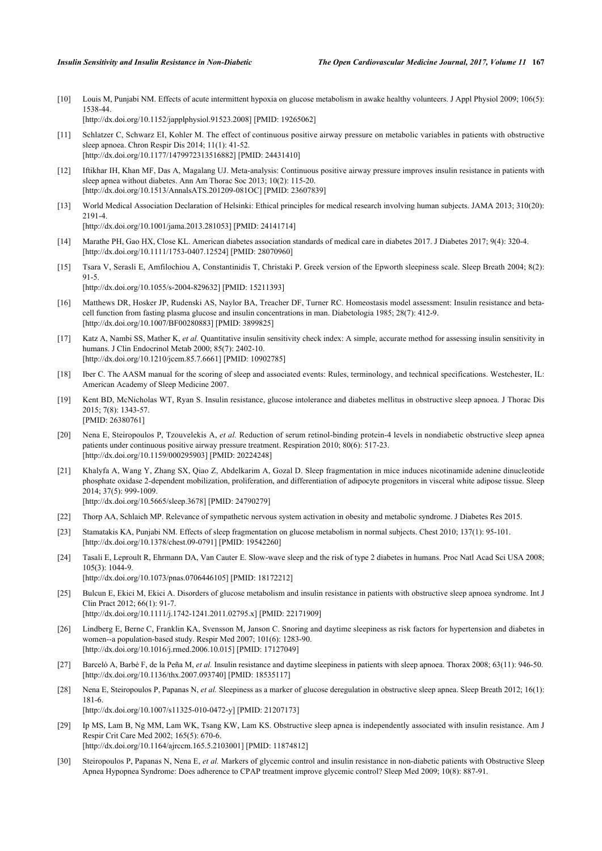<span id="page-8-0"></span>[10] Louis M, Punjabi NM. Effects of acute intermittent hypoxia on glucose metabolism in awake healthy volunteers. J Appl Physiol 2009; 106(5): 1538-44. [\[http://dx.doi.org/10.1152/japplphysiol.91523.2008](http://dx.doi.org/10.1152/japplphysiol.91523.2008)] [PMID: [19265062\]](http://www.ncbi.nlm.nih.gov/pubmed/19265062)

<span id="page-8-1"></span>[11] Schlatzer C, Schwarz EI, Kohler M. The effect of continuous positive airway pressure on metabolic variables in patients with obstructive sleep apnoea. Chron Respir Dis 2014; 11(1): 41-52. [\[http://dx.doi.org/10.1177/1479972313516882\]](http://dx.doi.org/10.1177/1479972313516882) [PMID: [24431410](http://www.ncbi.nlm.nih.gov/pubmed/24431410)]

- <span id="page-8-2"></span>[12] Iftikhar IH, Khan MF, Das A, Magalang UJ. Meta-analysis: Continuous positive airway pressure improves insulin resistance in patients with sleep apnea without diabetes. Ann Am Thorac Soc 2013; 10(2): 115-20. [\[http://dx.doi.org/10.1513/AnnalsATS.201209-081OC](http://dx.doi.org/10.1513/AnnalsATS.201209-081OC)] [PMID: [23607839\]](http://www.ncbi.nlm.nih.gov/pubmed/23607839)
- <span id="page-8-3"></span>[13] World Medical Association Declaration of Helsinki: Ethical principles for medical research involving human subjects. JAMA 2013; 310(20): 2191-4. [\[http://dx.doi.org/10.1001/jama.2013.281053](http://dx.doi.org/10.1001/jama.2013.281053)] [PMID: [24141714\]](http://www.ncbi.nlm.nih.gov/pubmed/24141714)
- <span id="page-8-4"></span>[14] Marathe PH, Gao HX, Close KL. American diabetes association standards of medical care in diabetes 2017. J Diabetes 2017; 9(4): 320-4. [\[http://dx.doi.org/10.1111/1753-0407.12524](http://dx.doi.org/10.1111/1753-0407.12524)] [PMID: [28070960](http://www.ncbi.nlm.nih.gov/pubmed/28070960)]
- <span id="page-8-5"></span>[15] Tsara V, Serasli E, Amfilochiou A, Constantinidis T, Christaki P. Greek version of the Epworth sleepiness scale. Sleep Breath 2004; 8(2): 91-5.

[\[http://dx.doi.org/10.1055/s-2004-829632](http://dx.doi.org/10.1055/s-2004-829632)] [PMID: [15211393\]](http://www.ncbi.nlm.nih.gov/pubmed/15211393)

- <span id="page-8-6"></span>[16] Matthews DR, Hosker JP, Rudenski AS, Naylor BA, Treacher DF, Turner RC. Homeostasis model assessment: Insulin resistance and betacell function from fasting plasma glucose and insulin concentrations in man. Diabetologia 1985; 28(7): 412-9. [\[http://dx.doi.org/10.1007/BF00280883\]](http://dx.doi.org/10.1007/BF00280883) [PMID: [3899825](http://www.ncbi.nlm.nih.gov/pubmed/3899825)]
- <span id="page-8-7"></span>[17] Katz A, Nambi SS, Mather K, *et al.* Quantitative insulin sensitivity check index: A simple, accurate method for assessing insulin sensitivity in humans. J Clin Endocrinol Metab 2000; 85(7): 2402-10. [\[http://dx.doi.org/10.1210/jcem.85.7.6661](http://dx.doi.org/10.1210/jcem.85.7.6661)] [PMID: [10902785\]](http://www.ncbi.nlm.nih.gov/pubmed/10902785)
- <span id="page-8-8"></span>[18] Iber C. The AASM manual for the scoring of sleep and associated events: Rules, terminology, and technical specifications. Westchester, IL: American Academy of Sleep Medicine 2007.
- <span id="page-8-9"></span>[19] Kent BD, McNicholas WT, Ryan S. Insulin resistance, glucose intolerance and diabetes mellitus in obstructive sleep apnoea. J Thorac Dis  $2015:7(8):1343-57$ [PMID: [26380761\]](http://www.ncbi.nlm.nih.gov/pubmed/26380761)
- <span id="page-8-10"></span>[20] Nena E, Steiropoulos P, Tzouvelekis A, *et al.* Reduction of serum retinol-binding protein-4 levels in nondiabetic obstructive sleep apnea patients under continuous positive airway pressure treatment. Respiration 2010; 80(6): 517-23. [\[http://dx.doi.org/10.1159/000295903\]](http://dx.doi.org/10.1159/000295903) [PMID: [20224248](http://www.ncbi.nlm.nih.gov/pubmed/20224248)]
- <span id="page-8-11"></span>[21] Khalyfa A, Wang Y, Zhang SX, Qiao Z, Abdelkarim A, Gozal D. Sleep fragmentation in mice induces nicotinamide adenine dinucleotide phosphate oxidase 2-dependent mobilization, proliferation, and differentiation of adipocyte progenitors in visceral white adipose tissue. Sleep 2014; 37(5): 999-1009. [\[http://dx.doi.org/10.5665/sleep.3678](http://dx.doi.org/10.5665/sleep.3678)] [PMID: [24790279\]](http://www.ncbi.nlm.nih.gov/pubmed/24790279)
- <span id="page-8-12"></span>[22] Thorp AA, Schlaich MP. Relevance of sympathetic nervous system activation in obesity and metabolic syndrome. J Diabetes Res 2015.
- <span id="page-8-13"></span>[23] Stamatakis KA, Punjabi NM. Effects of sleep fragmentation on glucose metabolism in normal subjects. Chest 2010; 137(1): 95-101. [\[http://dx.doi.org/10.1378/chest.09-0791\]](http://dx.doi.org/10.1378/chest.09-0791) [PMID: [19542260](http://www.ncbi.nlm.nih.gov/pubmed/19542260)]
- <span id="page-8-14"></span>[24] Tasali E, Leproult R, Ehrmann DA, Van Cauter E. Slow-wave sleep and the risk of type 2 diabetes in humans. Proc Natl Acad Sci USA 2008; 105(3): 1044-9. [\[http://dx.doi.org/10.1073/pnas.0706446105](http://dx.doi.org/10.1073/pnas.0706446105)] [PMID: [18172212](http://www.ncbi.nlm.nih.gov/pubmed/18172212)]
- <span id="page-8-15"></span>[25] Bulcun E, Ekici M, Ekici A. Disorders of glucose metabolism and insulin resistance in patients with obstructive sleep apnoea syndrome. Int J Clin Pract 2012; 66(1): 91-7. [\[http://dx.doi.org/10.1111/j.1742-1241.2011.02795.x\]](http://dx.doi.org/10.1111/j.1742-1241.2011.02795.x) [PMID: [22171909](http://www.ncbi.nlm.nih.gov/pubmed/22171909)]
- <span id="page-8-16"></span>[26] Lindberg E, Berne C, Franklin KA, Svensson M, Janson C. Snoring and daytime sleepiness as risk factors for hypertension and diabetes in women--a population-based study. Respir Med 2007; 101(6): 1283-90. [\[http://dx.doi.org/10.1016/j.rmed.2006.10.015](http://dx.doi.org/10.1016/j.rmed.2006.10.015)] [PMID: [17127049](http://www.ncbi.nlm.nih.gov/pubmed/17127049)]
- <span id="page-8-17"></span>[27] Barceló A, Barbé F, de la Peña M, *et al.* Insulin resistance and daytime sleepiness in patients with sleep apnoea. Thorax 2008; 63(11): 946-50. [\[http://dx.doi.org/10.1136/thx.2007.093740](http://dx.doi.org/10.1136/thx.2007.093740)] [PMID: [18535117\]](http://www.ncbi.nlm.nih.gov/pubmed/18535117)
- <span id="page-8-18"></span>[28] Nena E, Steiropoulos P, Papanas N, *et al.* Sleepiness as a marker of glucose deregulation in obstructive sleep apnea. Sleep Breath 2012; 16(1): 181-6.
	- [\[http://dx.doi.org/10.1007/s11325-010-0472-y\]](http://dx.doi.org/10.1007/s11325-010-0472-y) [PMID: [21207173](http://www.ncbi.nlm.nih.gov/pubmed/21207173)]
- <span id="page-8-19"></span>[29] Ip MS, Lam B, Ng MM, Lam WK, Tsang KW, Lam KS. Obstructive sleep apnea is independently associated with insulin resistance. Am J Respir Crit Care Med 2002; 165(5): 670-6. [\[http://dx.doi.org/10.1164/ajrccm.165.5.2103001\]](http://dx.doi.org/10.1164/ajrccm.165.5.2103001) [PMID: [11874812](http://www.ncbi.nlm.nih.gov/pubmed/11874812)]
- <span id="page-8-20"></span>[30] Steiropoulos P, Papanas N, Nena E, *et al.* Markers of glycemic control and insulin resistance in non-diabetic patients with Obstructive Sleep Apnea Hypopnea Syndrome: Does adherence to CPAP treatment improve glycemic control? Sleep Med 2009; 10(8): 887-91.